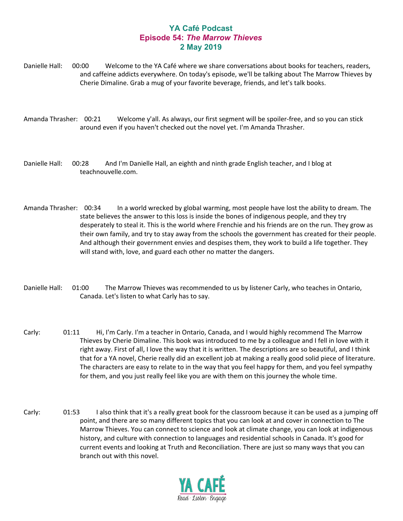## **YA Café Podcast Episode 54:** *The Marrow Thieves* **2 May 2019**

Danielle Hall: 00:00 Welcome to the YA Café where we share conversations about books for teachers, readers, and caffeine addicts everywhere. On today's episode, we'll be talking about The Marrow Thieves by Cherie Dimaline. Grab a mug of your favorite beverage, friends, and let's talk books.

Amanda Thrasher: 00:21 Welcome y'all. As always, our first segment will be spoiler-free, and so you can stick around even if you haven't checked out the novel yet. I'm Amanda Thrasher.

Danielle Hall: 00:28 And I'm Danielle Hall, an eighth and ninth grade English teacher, and I blog at teachnouvelle.com.

Amanda Thrasher: 00:34 In a world wrecked by global warming, most people have lost the ability to dream. The state believes the answer to this loss is inside the bones of indigenous people, and they try desperately to steal it. This is the world where Frenchie and his friends are on the run. They grow as their own family, and try to stay away from the schools the government has created for their people. And although their government envies and despises them, they work to build a life together. They will stand with, love, and guard each other no matter the dangers.

- Danielle Hall: 01:00 The Marrow Thieves was recommended to us by listener Carly, who teaches in Ontario, Canada. Let's listen to what Carly has to say.
- Carly: 01:11 Hi, I'm Carly. I'm a teacher in Ontario, Canada, and I would highly recommend The Marrow Thieves by Cherie Dimaline. This book was introduced to me by a colleague and I fell in love with it right away. First of all, I love the way that it is written. The descriptions are so beautiful, and I think that for a YA novel, Cherie really did an excellent job at making a really good solid piece of literature. The characters are easy to relate to in the way that you feel happy for them, and you feel sympathy for them, and you just really feel like you are with them on this journey the whole time.
- Carly: 01:53 I also think that it's a really great book for the classroom because it can be used as a jumping off point, and there are so many different topics that you can look at and cover in connection to The Marrow Thieves. You can connect to science and look at climate change, you can look at indigenous history, and culture with connection to languages and residential schools in Canada. It's good for current events and looking at Truth and Reconciliation. There are just so many ways that you can branch out with this novel.

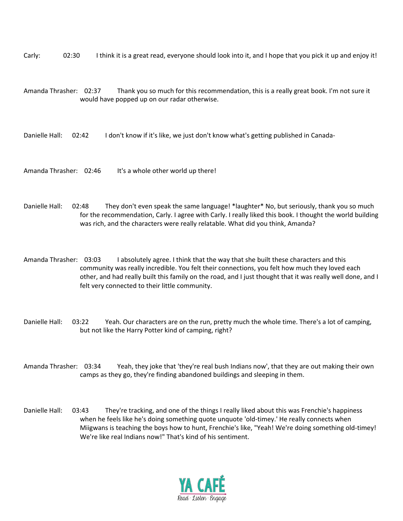Carly: 02:30 I think it is a great read, everyone should look into it, and I hope that you pick it up and enjoy it!

Amanda Thrasher: 02:37 Thank you so much for this recommendation, this is a really great book. I'm not sure it would have popped up on our radar otherwise.

Danielle Hall: 02:42 I don't know if it's like, we just don't know what's getting published in Canada-

Amanda Thrasher: 02:46 It's a whole other world up there!

Danielle Hall: 02:48 They don't even speak the same language! \*laughter\* No, but seriously, thank you so much for the recommendation, Carly. I agree with Carly. I really liked this book. I thought the world building was rich, and the characters were really relatable. What did you think, Amanda?

Amanda Thrasher: 03:03 I absolutely agree. I think that the way that she built these characters and this community was really incredible. You felt their connections, you felt how much they loved each other, and had really built this family on the road, and I just thought that it was really well done, and I felt very connected to their little community.

Danielle Hall: 03:22 Yeah. Our characters are on the run, pretty much the whole time. There's a lot of camping, but not like the Harry Potter kind of camping, right?

Amanda Thrasher: 03:34 Yeah, they joke that 'they're real bush Indians now', that they are out making their own camps as they go, they're finding abandoned buildings and sleeping in them.

Danielle Hall: 03:43 They're tracking, and one of the things I really liked about this was Frenchie's happiness when he feels like he's doing something quote unquote 'old-timey.' He really connects when Miigwans is teaching the boys how to hunt, Frenchie's like, "Yeah! We're doing something old-timey! We're like real Indians now!" That's kind of his sentiment.

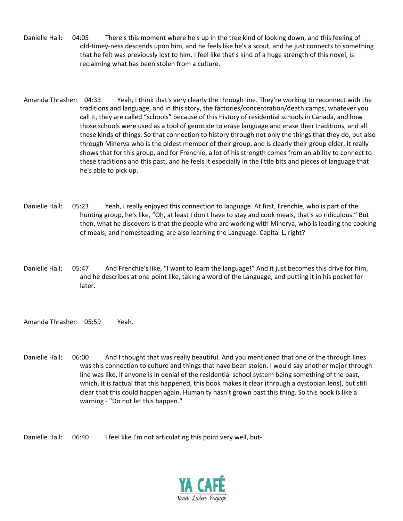- Danielle Hall: 04:05 There's this moment where he's up in the tree kind of looking down, and this feeling of old-timey-ness descends upon him, and he feels like he's a scout, and he just connects to something that he felt was previously lost to him. I feel like that's kind of a huge strength of this novel, is reclaiming what has been stolen from a culture.
- Amanda Thrasher: 04:33 Yeah, I think that's very clearly the through line. They're working to reconnect with the traditions and language, and in this story, the factories/concentration/death camps, whatever you call it, they are called "schools" because of this history of residential schools in Canada, and how those schools were used as a tool of genocide to erase language and erase their traditions, and all these kinds of things. So that connection to history through not only the things that they do, but also through Minerva who is the oldest member of their group, and is clearly their group elder, it really shows that for this group, and for Frenchie, a lot of his strength comes from an ability to connect to these traditions and this past, and he feels it especially in the little bits and pieces of language that he's able to pick up.
- Danielle Hall: 05:23 Yeah, I really enjoyed this connection to language. At first, Frenchie, who is part of the hunting group, he's like, "Oh, at least I don't have to stay and cook meals, that's so ridiculous." But then, what he discovers is that the people who are working with Minerva, who is leading the cooking of meals, and homesteading, are also learning the Language. Capital L, right?
- Danielle Hall: 05:47 And Frenchie's like, "I want to learn the language!" And it just becomes this drive for him, and he describes at one point like, taking a word of the Language, and putting it in his pocket for later.

Amanda Thrasher: 05:59 Yeah.

Danielle Hall: 06:00 And I thought that was really beautiful. And you mentioned that one of the through lines was this connection to culture and things that have been stolen. I would say another major through line was like, if anyone is in denial of the residential school system being something of the past, which, it is factual that this happened, this book makes it clear (through a dystopian lens), but still clear that this could happen again. Humanity hasn't grown past this thing. So this book is like a warning - "Do not let this happen."

Danielle Hall: 06:40 I feel like I'm not articulating this point very well, but-

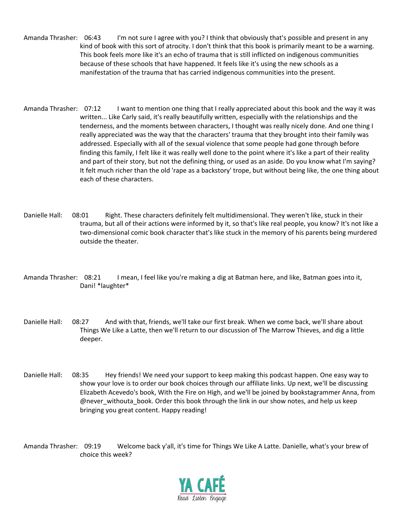- Amanda Thrasher: 06:43 I'm not sure I agree with you? I think that obviously that's possible and present in any kind of book with this sort of atrocity. I don't think that this book is primarily meant to be a warning. This book feels more like it's an echo of trauma that is still inflicted on indigenous communities because of these schools that have happened. It feels like it's using the new schools as a manifestation of the trauma that has carried indigenous communities into the present.
- Amanda Thrasher: 07:12 I want to mention one thing that I really appreciated about this book and the way it was written... Like Carly said, it's really beautifully written, especially with the relationships and the tenderness, and the moments between characters, I thought was really nicely done. And one thing I really appreciated was the way that the characters' trauma that they brought into their family was addressed. Especially with all of the sexual violence that some people had gone through before finding this family, I felt like it was really well done to the point where it's like a part of their reality and part of their story, but not the defining thing, or used as an aside. Do you know what I'm saying? It felt much richer than the old 'rape as a backstory' trope, but without being like, the one thing about each of these characters.
- Danielle Hall: 08:01 Right. These characters definitely felt multidimensional. They weren't like, stuck in their trauma, but all of their actions were informed by it, so that's like real people, you know? It's not like a two-dimensional comic book character that's like stuck in the memory of his parents being murdered outside the theater.
- Amanda Thrasher: 08:21 I mean, I feel like you're making a dig at Batman here, and like, Batman goes into it, Dani! \*laughter\*
- Danielle Hall: 08:27 And with that, friends, we'll take our first break. When we come back, we'll share about Things We Like a Latte, then we'll return to our discussion of The Marrow Thieves, and dig a little deeper.
- Danielle Hall: 08:35 Hey friends! We need your support to keep making this podcast happen. One easy way to show your love is to order our book choices through our affiliate links. Up next, we'll be discussing Elizabeth Acevedo's book, With the Fire on High, and we'll be joined by bookstagrammer Anna, from @never\_withouta\_book. Order this book through the link in our show notes, and help us keep bringing you great content. Happy reading!

Amanda Thrasher: 09:19 Welcome back y'all, it's time for Things We Like A Latte. Danielle, what's your brew of choice this week?

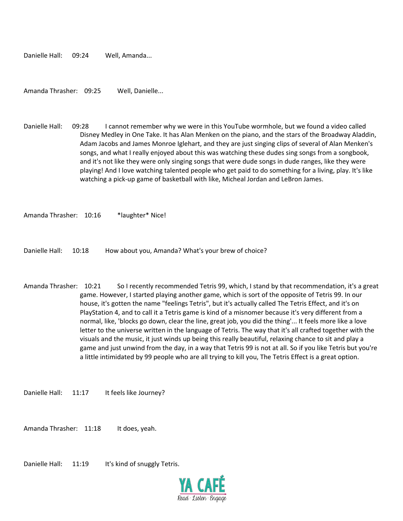Danielle Hall: 09:24 Well, Amanda...

Amanda Thrasher: 09:25 Well, Danielle...

Danielle Hall: 09:28 I cannot remember why we were in this YouTube wormhole, but we found a video called Disney Medley in One Take. It has Alan Menken on the piano, and the stars of the Broadway Aladdin, Adam Jacobs and James Monroe Iglehart, and they are just singing clips of several of Alan Menken's songs, and what I really enjoyed about this was watching these dudes sing songs from a songbook, and it's not like they were only singing songs that were dude songs in dude ranges, like they were playing! And I love watching talented people who get paid to do something for a living, play. It's like watching a pick-up game of basketball with like, Micheal Jordan and LeBron James.

Amanda Thrasher: 10:16 \*laughter\* Nice!

Danielle Hall: 10:18 How about you, Amanda? What's your brew of choice?

Amanda Thrasher: 10:21 So I recently recommended Tetris 99, which, I stand by that recommendation, it's a great game. However, I started playing another game, which is sort of the opposite of Tetris 99. In our house, it's gotten the name "feelings Tetris", but it's actually called The Tetris Effect, and it's on PlayStation 4, and to call it a Tetris game is kind of a misnomer because it's very different from a normal, like, 'blocks go down, clear the line, great job, you did the thing'... It feels more like a love letter to the universe written in the language of Tetris. The way that it's all crafted together with the visuals and the music, it just winds up being this really beautiful, relaxing chance to sit and play a game and just unwind from the day, in a way that Tetris 99 is not at all. So if you like Tetris but you're a little intimidated by 99 people who are all trying to kill you, The Tetris Effect is a great option.

Danielle Hall: 11:17 It feels like Journey?

Amanda Thrasher: 11:18 It does, yeah.

Danielle Hall: 11:19 It's kind of snuggly Tetris.

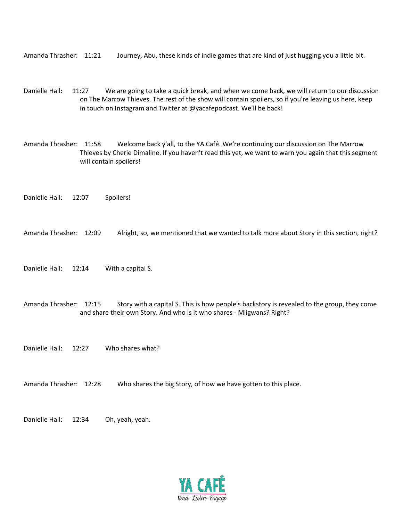Amanda Thrasher: 11:21 Journey, Abu, these kinds of indie games that are kind of just hugging you a little bit.

Danielle Hall: 11:27 We are going to take a quick break, and when we come back, we will return to our discussion on The Marrow Thieves. The rest of the show will contain spoilers, so if you're leaving us here, keep in touch on Instagram and Twitter at @yacafepodcast. We'll be back!

Amanda Thrasher: 11:58 Welcome back y'all, to the YA Café. We're continuing our discussion on The Marrow Thieves by Cherie Dimaline. If you haven't read this yet, we want to warn you again that this segment will contain spoilers!

Danielle Hall: 12:07 Spoilers!

Amanda Thrasher: 12:09 Alright, so, we mentioned that we wanted to talk more about Story in this section, right?

Danielle Hall: 12:14 With a capital S.

Amanda Thrasher: 12:15 Story with a capital S. This is how people's backstory is revealed to the group, they come and share their own Story. And who is it who shares - Miigwans? Right?

Danielle Hall: 12:27 Who shares what?

Amanda Thrasher: 12:28 Who shares the big Story, of how we have gotten to this place.

Danielle Hall: 12:34 Oh, yeah, yeah.

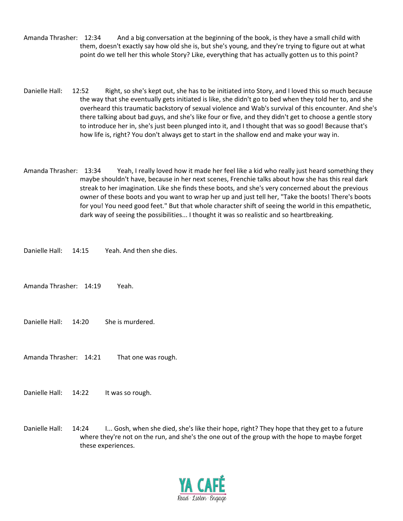Amanda Thrasher: 12:34 And a big conversation at the beginning of the book, is they have a small child with them, doesn't exactly say how old she is, but she's young, and they're trying to figure out at what point do we tell her this whole Story? Like, everything that has actually gotten us to this point?

- Danielle Hall: 12:52 Right, so she's kept out, she has to be initiated into Story, and I loved this so much because the way that she eventually gets initiated is like, she didn't go to bed when they told her to, and she overheard this traumatic backstory of sexual violence and Wab's survival of this encounter. And she's there talking about bad guys, and she's like four or five, and they didn't get to choose a gentle story to introduce her in, she's just been plunged into it, and I thought that was so good! Because that's how life is, right? You don't always get to start in the shallow end and make your way in.
- Amanda Thrasher: 13:34 Yeah, I really loved how it made her feel like a kid who really just heard something they maybe shouldn't have, because in her next scenes, Frenchie talks about how she has this real dark streak to her imagination. Like she finds these boots, and she's very concerned about the previous owner of these boots and you want to wrap her up and just tell her, "Take the boots! There's boots for you! You need good feet." But that whole character shift of seeing the world in this empathetic, dark way of seeing the possibilities... I thought it was so realistic and so heartbreaking.
- Danielle Hall: 14:15 Yeah. And then she dies.
- Amanda Thrasher: 14:19 Yeah.
- Danielle Hall: 14:20 She is murdered.
- Amanda Thrasher: 14:21 That one was rough.
- Danielle Hall: 14:22 It was so rough.
- Danielle Hall: 14:24 I... Gosh, when she died, she's like their hope, right? They hope that they get to a future where they're not on the run, and she's the one out of the group with the hope to maybe forget these experiences.

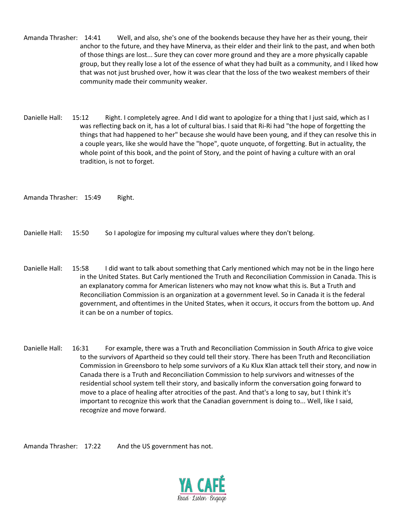Amanda Thrasher: 14:41 Well, and also, she's one of the bookends because they have her as their young, their anchor to the future, and they have Minerva, as their elder and their link to the past, and when both of those things are lost... Sure they can cover more ground and they are a more physically capable group, but they really lose a lot of the essence of what they had built as a community, and I liked how that was not just brushed over, how it was clear that the loss of the two weakest members of their community made their community weaker.

Danielle Hall: 15:12 Right. I completely agree. And I did want to apologize for a thing that I just said, which as I was reflecting back on it, has a lot of cultural bias. I said that Ri-Ri had "the hope of forgetting the things that had happened to her" because she would have been young, and if they can resolve this in a couple years, like she would have the "hope", quote unquote, of forgetting. But in actuality, the whole point of this book, and the point of Story, and the point of having a culture with an oral tradition, is not to forget.

Amanda Thrasher: 15:49 Right.

Danielle Hall: 15:50 So I apologize for imposing my cultural values where they don't belong.

- Danielle Hall: 15:58 I did want to talk about something that Carly mentioned which may not be in the lingo here in the United States. But Carly mentioned the Truth and Reconciliation Commission in Canada. This is an explanatory comma for American listeners who may not know what this is. But a Truth and Reconciliation Commission is an organization at a government level. So in Canada it is the federal government, and oftentimes in the United States, when it occurs, it occurs from the bottom up. And it can be on a number of topics.
- Danielle Hall: 16:31 For example, there was a Truth and Reconciliation Commission in South Africa to give voice to the survivors of Apartheid so they could tell their story. There has been Truth and Reconciliation Commission in Greensboro to help some survivors of a Ku Klux Klan attack tell their story, and now in Canada there is a Truth and Reconciliation Commission to help survivors and witnesses of the residential school system tell their story, and basically inform the conversation going forward to move to a place of healing after atrocities of the past. And that's a long to say, but I think it's important to recognize this work that the Canadian government is doing to... Well, like I said, recognize and move forward.

Amanda Thrasher: 17:22 And the US government has not.

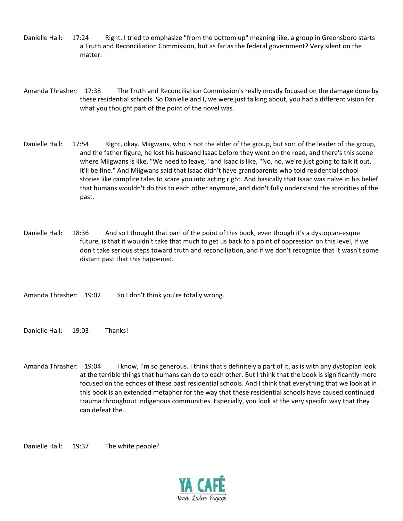- Danielle Hall: 17:24 Right. I tried to emphasize "from the bottom up" meaning like, a group in Greensboro starts a Truth and Reconciliation Commission, but as far as the federal government? Very silent on the matter.
- Amanda Thrasher: 17:38 The Truth and Reconciliation Commission's really mostly focused on the damage done by these residential schools. So Danielle and I, we were just talking about, you had a different vision for what you thought part of the point of the novel was.
- Danielle Hall: 17:54 Right, okay. Miigwans, who is not the elder of the group, but sort of the leader of the group, and the father figure, he lost his husband Isaac before they went on the road, and there's this scene where Miigwans is like, "We need to leave," and Isaac is like, "No, no, we're just going to talk it out, it'll be fine." And Miigwans said that Isaac didn't have grandparents who told residential school stories like campfire tales to scare you into acting right. And basically that Isaac was naïve in his belief that humans wouldn't do this to each other anymore, and didn't fully understand the atrocities of the past.
- Danielle Hall: 18:36 And so I thought that part of the point of this book, even though it's a dystopian-esque future, is that it wouldn't take that much to get us back to a point of oppression on this level, if we don't take serious steps toward truth and reconciliation, and if we don't recognize that it wasn't some distant past that this happened.
- Amanda Thrasher: 19:02 So I don't think you're totally wrong.
- Danielle Hall: 19:03 Thanks!
- Amanda Thrasher: 19:04 I know, I'm so generous. I think that's definitely a part of it, as is with any dystopian look at the terrible things that humans can do to each other. But I think that the book is significantly more focused on the echoes of these past residential schools. And I think that everything that we look at in this book is an extended metaphor for the way that these residential schools have caused continued trauma throughout indigenous communities. Especially, you look at the very specific way that they can defeat the...

Danielle Hall: 19:37 The white people?

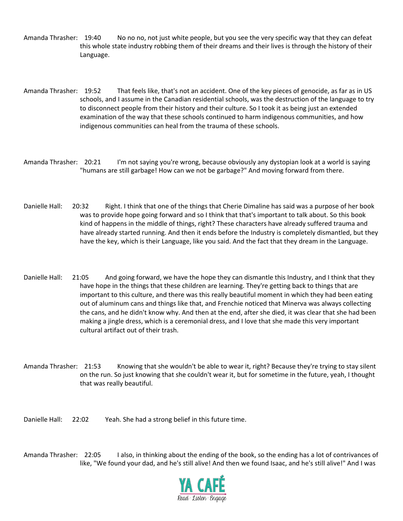- Amanda Thrasher: 19:40 No no no, not just white people, but you see the very specific way that they can defeat this whole state industry robbing them of their dreams and their lives is through the history of their Language.
- Amanda Thrasher: 19:52 That feels like, that's not an accident. One of the key pieces of genocide, as far as in US schools, and I assume in the Canadian residential schools, was the destruction of the language to try to disconnect people from their history and their culture. So I took it as being just an extended examination of the way that these schools continued to harm indigenous communities, and how indigenous communities can heal from the trauma of these schools.
- Amanda Thrasher: 20:21 I'm not saying you're wrong, because obviously any dystopian look at a world is saying "humans are still garbage! How can we not be garbage?" And moving forward from there.
- Danielle Hall: 20:32 Right. I think that one of the things that Cherie Dimaline has said was a purpose of her book was to provide hope going forward and so I think that that's important to talk about. So this book kind of happens in the middle of things, right? These characters have already suffered trauma and have already started running. And then it ends before the Industry is completely dismantled, but they have the key, which is their Language, like you said. And the fact that they dream in the Language.
- Danielle Hall: 21:05 And going forward, we have the hope they can dismantle this Industry, and I think that they have hope in the things that these children are learning. They're getting back to things that are important to this culture, and there was this really beautiful moment in which they had been eating out of aluminum cans and things like that, and Frenchie noticed that Minerva was always collecting the cans, and he didn't know why. And then at the end, after she died, it was clear that she had been making a jingle dress, which is a ceremonial dress, and I love that she made this very important cultural artifact out of their trash.
- Amanda Thrasher: 21:53 Knowing that she wouldn't be able to wear it, right? Because they're trying to stay silent on the run. So just knowing that she couldn't wear it, but for sometime in the future, yeah, I thought that was really beautiful.
- Danielle Hall: 22:02 Yeah. She had a strong belief in this future time.

Amanda Thrasher: 22:05 I also, in thinking about the ending of the book, so the ending has a lot of contrivances of like, "We found your dad, and he's still alive! And then we found Isaac, and he's still alive!" And I was

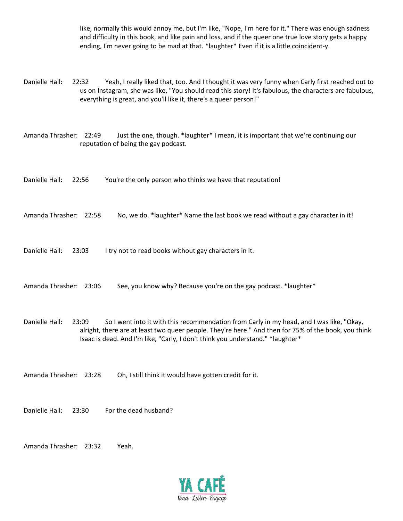like, normally this would annoy me, but I'm like, "Nope, I'm here for it." There was enough sadness and difficulty in this book, and like pain and loss, and if the queer one true love story gets a happy ending, I'm never going to be mad at that. \*laughter\* Even if it is a little coincident-y.

Danielle Hall: 22:32 Yeah, I really liked that, too. And I thought it was very funny when Carly first reached out to us on Instagram, she was like, "You should read this story! It's fabulous, the characters are fabulous, everything is great, and you'll like it, there's a queer person!"

Amanda Thrasher: 22:49 Just the one, though. \*laughter\* I mean, it is important that we're continuing our reputation of being the gay podcast.

Danielle Hall: 22:56 You're the only person who thinks we have that reputation!

Amanda Thrasher: 22:58 No, we do. \*laughter\* Name the last book we read without a gay character in it!

Danielle Hall: 23:03 I try not to read books without gay characters in it.

Amanda Thrasher: 23:06 See, you know why? Because you're on the gay podcast. \*laughter\*

Danielle Hall: 23:09 So I went into it with this recommendation from Carly in my head, and I was like, "Okay, alright, there are at least two queer people. They're here." And then for 75% of the book, you think Isaac is dead. And I'm like, "Carly, I don't think you understand." \*laughter\*

Amanda Thrasher: 23:28 Oh, I still think it would have gotten credit for it.

Danielle Hall: 23:30 For the dead husband?

Amanda Thrasher: 23:32 Yeah.